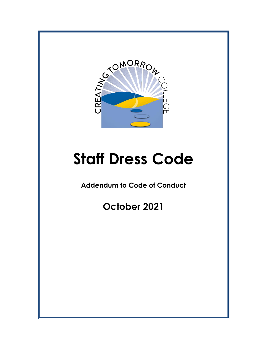

# **Staff Dress Code**

**Addendum to Code of Conduct**

**October 2021**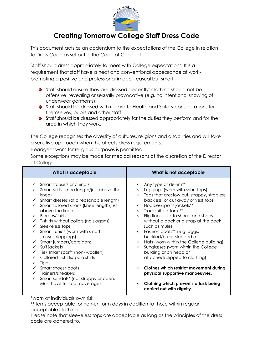

## **Creating Tomorrow College Staff Dress Code**

This document acts as an addendum to the expectations of the College in relation to Dress Code as set out in the Code of Conduct.

Staff should dress appropriately to meet with College expectations. It is a requirement that staff have a neat and conventional appearance at workpromoting a positive and professional image - casual but smart.

- **•** Staff should ensure they are dressed decently: clothing should not be offensive, revealing or sexually provocative (e.g. no intentional showing of underwear garments).
- **•** Staff should be dressed with regard to Health and Safety considerations for themselves, pupils and other staff.
- **•** Staff should be dressed appropriately for the duties they perform and for the area in which they work.

The College recognises the diversity of cultures, religions and disabilities and will take a sensitive approach when this affects dress requirements.

Headgear worn for religious purposes is permitted.

Some exceptions may be made for medical reasons at the discretion of the Director of College.

| What is acceptable                                                                                                                                                                                                                                                                                                                                                                                                                                                                                                                                                                                                                                      | What is not acceptable                                                                                                                                                                                                                                                                                                                                                                                                                                                                                                                                                                                                                                                                                                                                                                                                                                                     |
|---------------------------------------------------------------------------------------------------------------------------------------------------------------------------------------------------------------------------------------------------------------------------------------------------------------------------------------------------------------------------------------------------------------------------------------------------------------------------------------------------------------------------------------------------------------------------------------------------------------------------------------------------------|----------------------------------------------------------------------------------------------------------------------------------------------------------------------------------------------------------------------------------------------------------------------------------------------------------------------------------------------------------------------------------------------------------------------------------------------------------------------------------------------------------------------------------------------------------------------------------------------------------------------------------------------------------------------------------------------------------------------------------------------------------------------------------------------------------------------------------------------------------------------------|
| $\checkmark$ Smart trousers or chino's<br>Smart skirts (knee length/just above the<br>knee)<br>Smart dresses (of a reasonable length)<br>$\checkmark$<br>Smart tailored shorts (knee length/just<br>above the knee)<br><b>Blouses/shirts</b><br>T-shirts without collars (no slogans)<br>$\checkmark$ Sleeveless tops<br>Smart Tunics (worn with smart<br>trousers/leggings)<br>Smart jumpers/cardigans<br>Suit jackets<br>$\checkmark$<br>Tie/ smart scarf* (non- woollen)<br>Collared T-shirts/ polo shirts<br>Tights<br>Smart shoes/boots<br>$\checkmark$ Trainers/sneakers<br>Smart sandals* (not strappy or open.<br>Must have full foot coverage) | Any type of denim <sup>**</sup><br>$\mathsf{x}$<br>Leggings (worn with short tops)<br>$\boldsymbol{\mathsf{x}}$<br>Tops that are: low cut, strappy, strapless,<br>$\mathsf{x}$<br>backless, or cut away or vest tops.<br>Hoodies/sports jackets**<br>$\mathsf{x}$<br>Tracksuit bottoms**<br>$\mathsf{x}$<br>Flip flops, stiletto shoes, and shoes<br>$\times$<br>without a back or a strap at the back<br>such as mules.<br>Fashion boots** (e.g. Uggs,<br>$\times$<br>buckled/biker, studded etc)<br>Hats (worn within the College building)<br>$\mathsf{x}$<br>Sunglasses (worn within the College<br>$\mathsf{x}$<br>building or on head or<br>attached/clipped to clothing)<br>Clothes which restrict movement during<br>$\times$<br>physical supportive manoeuvres.<br>Clothing which prevents a task being<br>$\boldsymbol{\mathsf{x}}$<br>carried out with dignity. |

\*worn at individuals own risk

\*\*items acceptable for non-uniform days in addition to those within regular acceptable clothing

Please note that sleeveless tops are acceptable as long as the principles of the dress code are adhered to.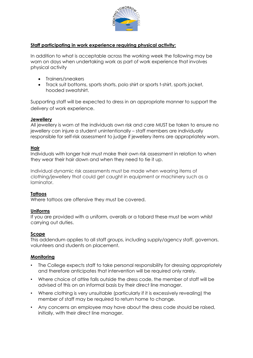

### **Staff participating in work experience requiring physical activity:**

In addition to what is acceptable across the working week the following may be worn on days when undertaking work as part of work experience that involves physical activity

- Trainers/sneakers
- Track suit bottoms, sports shorts, polo shirt or sports t-shirt, sports jacket, hooded sweatshirt.

Supporting staff will be expected to dress in an appropriate manner to support the delivery of work experience.

#### **Jewellery**

All jewellery is worn at the individuals own risk and care MUST be taken to ensure no jewellery can injure a student unintentionally – staff members are individually responsible for self-risk assessment to judge if jewellery items are appropriately worn.

#### **Hair**

Individuals with longer hair must make their own risk assessment in relation to when they wear their hair down and when they need to tie it up.

Individual dynamic risk assessments must be made when wearing items of clothing/jewellery that could get caught in equipment or machinery such as a laminator.

#### **Tattoos**

Where tattoos are offensive they must be covered.

#### **Uniforms**

If you are provided with a uniform, overalls or a tabard these must be worn whilst carrying out duties.

#### **Scope**

This addendum applies to all staff groups, including supply/agency staff, governors, volunteers and students on placement.

#### **Monitoring**

- The College expects staff to take personal responsibility for dressing appropriately and therefore anticipates that intervention will be required only rarely.
- Where choice of attire falls outside the dress code, the member of staff will be advised of this on an informal basis by their direct line manager.
- Where clothing is very unsuitable (particularly if it is excessively revealing) the member of staff may be required to return home to change.
- Any concerns an employee may have about the dress code should be raised, initially, with their direct line manager.